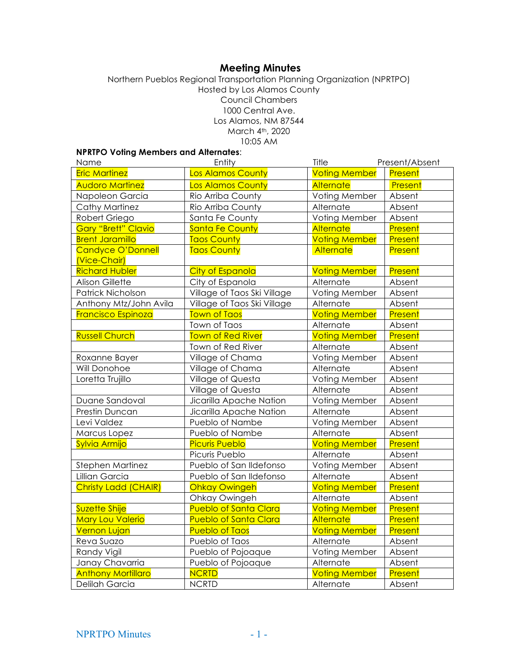# **Meeting Minutes**

#### Northern Pueblos Regional Transportation Planning Organization (NPRTPO) Hosted by Los Alamos County Council Chambers 1000 Central Ave. Los Alamos, NM 87544 March 4<sup>th</sup>, 2020 10:05 AM

## **NPRTPO Voting Members and Alternates**:

| Name                       | Entity                       | Title                | Present/Absent |
|----------------------------|------------------------------|----------------------|----------------|
| <b>Eric Martinez</b>       | Los Alamos County            | <b>Voting Member</b> | Present        |
| <b>Audoro Martinez</b>     | <b>Los Alamos County</b>     | <b>Alternate</b>     | Present        |
| Napoleon Garcia            | Rio Arriba County            | Voting Member        | Absent         |
| <b>Cathy Martinez</b>      | Rio Arriba County            | Alternate            | Absent         |
| Robert Griego              | Santa Fe County              | Voting Member        | Absent         |
| <b>Gary "Brett" Clavio</b> | Santa Fe County              | Alternate            | Present        |
| <b>Brent Jaramillo</b>     | <b>Taos County</b>           | <b>Voting Member</b> | Present        |
| Candyce O'Donnell          | <b>Taos County</b>           | <b>Alternate</b>     | Present        |
| (Vice-Chair)               |                              |                      |                |
| <b>Richard Hubler</b>      | <b>City of Espanola</b>      | <b>Voting Member</b> | Present        |
| <b>Alison Gillette</b>     | City of Espanola             | Alternate            | Absent         |
| Patrick Nicholson          | Village of Taos Ski Village  | Voting Member        | Absent         |
| Anthony Mtz/John Avila     | Village of Taos Ski Village  | Alternate            | Absent         |
| <b>Francisco Espinoza</b>  | <b>Town of Taos</b>          | <b>Voting Member</b> | Present        |
|                            | Town of Taos                 | Alternate            | Absent         |
| <b>Russell Church</b>      | <b>Town of Red River</b>     | <b>Voting Member</b> | Present        |
|                            | Town of Red River            | Alternate            | Absent         |
| Roxanne Bayer              | Village of Chama             | Voting Member        | Absent         |
| Will Donohoe               | Village of Chama             | Alternate            | Absent         |
| Loretta Trujillo           | Village of Questa            | Voting Member        | Absent         |
|                            | Village of Questa            | Alternate            | Absent         |
| Duane Sandoval             | Jicarilla Apache Nation      | Voting Member        | Absent         |
| Prestin Duncan             | Jicarilla Apache Nation      | Alternate            | Absent         |
| Levi Valdez                | Pueblo of Nambe              | Voting Member        | Absent         |
| Marcus Lopez               | Pueblo of Nambe              | Alternate            | Absent         |
| Sylvia Armijo              | <b>Picuris Pueblo</b>        | <b>Voting Member</b> | Present        |
|                            | Picuris Pueblo               | Alternate            | Absent         |
| Stephen Martinez           | Pueblo of San Ildefonso      | Voting Member        | Absent         |
| Lillian Garcia             | Pueblo of San Ildefonso      | Alternate            | Absent         |
| Christy Ladd (CHAIR)       | <b>Ohkay Owingeh</b>         | <b>Voting Member</b> | Present        |
|                            | Ohkay Owingeh                | Alternate            | Absent         |
| <b>Suzette Shije</b>       | <b>Pueblo of Santa Clara</b> | <b>Voting Member</b> | Present        |
| <b>Mary Lou Valerio</b>    | <b>Pueblo of Santa Clara</b> | Alternate            | Present        |
| <b>Vernon Lujan</b>        | <b>Pueblo of Taos</b>        | <b>Voting Member</b> | Present        |
| Reva Suazo                 | Pueblo of Taos               | Alternate            | Absent         |
| Randy Vigil                | Pueblo of Pojoaque           | Voting Member        | Absent         |
| Janay Chavarria            | Pueblo of Pojoaque           | Alternate            | Absent         |
| <b>Anthony Mortillaro</b>  | <b>NCRTD</b>                 | <b>Voting Member</b> | Present        |
| Delilah Garcia             | <b>NCRTD</b>                 | Alternate            | Absent         |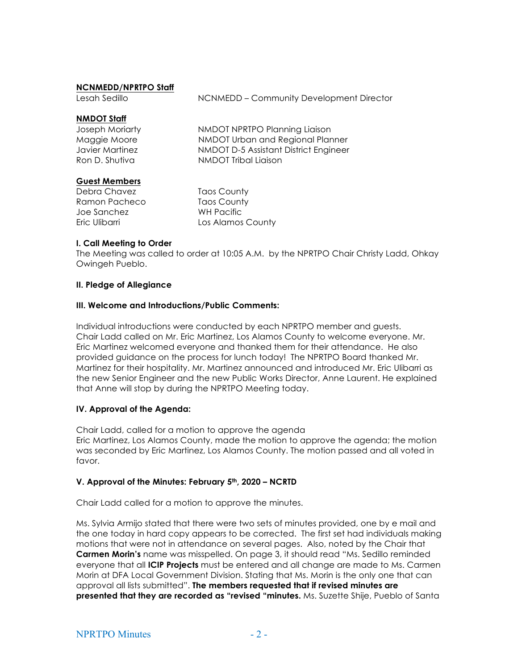## **NCNMEDD/NPRTPO Staff**

Lesah Sedillo **NACONTED** – Community Development Director

#### **NMDOT Staff**

| Joseph Moriarty | NMDOT NPRTPO Planning Liaison         |
|-----------------|---------------------------------------|
| Maggie Moore    | NMDOT Urban and Regional Planner      |
| Javier Martinez | NMDOT D-5 Assistant District Engineer |
| Ron D. Shutiva  | NMDOT Tribal Liaison                  |
|                 |                                       |

#### **Guest Members**

Debra Chavez Taos County Ramon Pacheco Taos County Joe Sanchez WH Pacific

Eric Ulibarri **Los Alamos County** 

## **I. Call Meeting to Order**

The Meeting was called to order at 10:05 A.M. by the NPRTPO Chair Christy Ladd, Ohkay Owingeh Pueblo.

#### **II. Pledge of Allegiance**

#### **III. Welcome and Introductions/Public Comments:**

Individual introductions were conducted by each NPRTPO member and guests. Chair Ladd called on Mr. Eric Martinez, Los Alamos County to welcome everyone. Mr. Eric Martinez welcomed everyone and thanked them for their attendance. He also provided guidance on the process for lunch today! The NPRTPO Board thanked Mr. Martinez for their hospitality. Mr. Martinez announced and introduced Mr. Eric Ulibarri as the new Senior Engineer and the new Public Works Director, Anne Laurent. He explained that Anne will stop by during the NPRTPO Meeting today.

#### **IV. Approval of the Agenda:**

Chair Ladd, called for a motion to approve the agenda Eric Martinez, Los Alamos County, made the motion to approve the agenda; the motion was seconded by Eric Martinez, Los Alamos County. The motion passed and all voted in favor.

#### **V. Approval of the Minutes: February 5th, 2020 – NCRTD**

Chair Ladd called for a motion to approve the minutes.

Ms. Sylvia Armijo stated that there were two sets of minutes provided, one by e mail and the one today in hard copy appears to be corrected. The first set had individuals making motions that were not in attendance on several pages. Also, noted by the Chair that **Carmen Morin's** name was misspelled. On page 3, it should read "Ms. Sedillo reminded everyone that all **ICIP Projects** must be entered and all change are made to Ms. Carmen Morin at DFA Local Government Division. Stating that Ms. Morin is the only one that can approval all lists submitted". **The members requested that if revised minutes are presented that they are recorded as "revised "minutes.** Ms. Suzette Shije, Pueblo of Santa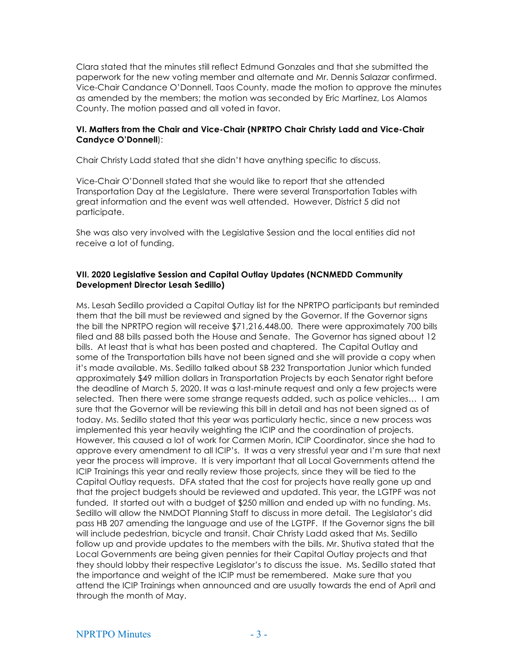Clara stated that the minutes still reflect Edmund Gonzales and that she submitted the paperwork for the new voting member and alternate and Mr. Dennis Salazar confirmed. Vice-Chair Candance O'Donnell, Taos County, made the motion to approve the minutes as amended by the members; the motion was seconded by Eric Martinez, Los Alamos County. The motion passed and all voted in favor.

#### **VI. Matters from the Chair and Vice-Chair (NPRTPO Chair Christy Ladd and Vice-Chair Candyce O'Donnell**):

Chair Christy Ladd stated that she didn't have anything specific to discuss.

Vice-Chair O'Donnell stated that she would like to report that she attended Transportation Day at the Legislature. There were several Transportation Tables with great information and the event was well attended. However, District 5 did not participate.

She was also very involved with the Legislative Session and the local entities did not receive a lot of funding.

## **VII. 2020 Legislative Session and Capital Outlay Updates (NCNMEDD Community Development Director Lesah Sedillo)**

Ms. Lesah Sedillo provided a Capital Outlay list for the NPRTPO participants but reminded them that the bill must be reviewed and signed by the Governor. If the Governor signs the bill the NPRTPO region will receive \$71,216,448.00. There were approximately 700 bills filed and 88 bills passed both the House and Senate. The Governor has signed about 12 bills. At least that is what has been posted and chaptered. The Capital Outlay and some of the Transportation bills have not been signed and she will provide a copy when it's made available. Ms. Sedillo talked about SB 232 Transportation Junior which funded approximately \$49 million dollars in Transportation Projects by each Senator right before the deadline of March 5, 2020. It was a last-minute request and only a few projects were selected. Then there were some strange requests added, such as police vehicles… I am sure that the Governor will be reviewing this bill in detail and has not been signed as of today. Ms. Sedillo stated that this year was particularly hectic, since a new process was implemented this year heavily weighting the ICIP and the coordination of projects. However, this caused a lot of work for Carmen Morin, ICIP Coordinator, since she had to approve every amendment to all ICIP's. It was a very stressful year and I'm sure that next year the process will improve. It is very important that all Local Governments attend the ICIP Trainings this year and really review those projects, since they will be tied to the Capital Outlay requests. DFA stated that the cost for projects have really gone up and that the project budgets should be reviewed and updated. This year, the LGTPF was not funded. It started out with a budget of \$250 million and ended up with no funding. Ms. Sedillo will allow the NMDOT Planning Staff to discuss in more detail. The Legislator's did pass HB 207 amending the language and use of the LGTPF. If the Governor signs the bill will include pedestrian, bicycle and transit. Chair Christy Ladd asked that Ms. Sedillo follow up and provide updates to the members with the bills. Mr. Shutiva stated that the Local Governments are being given pennies for their Capital Outlay projects and that they should lobby their respective Legislator's to discuss the issue. Ms. Sedillo stated that the importance and weight of the ICIP must be remembered. Make sure that you attend the ICIP Trainings when announced and are usually towards the end of April and through the month of May.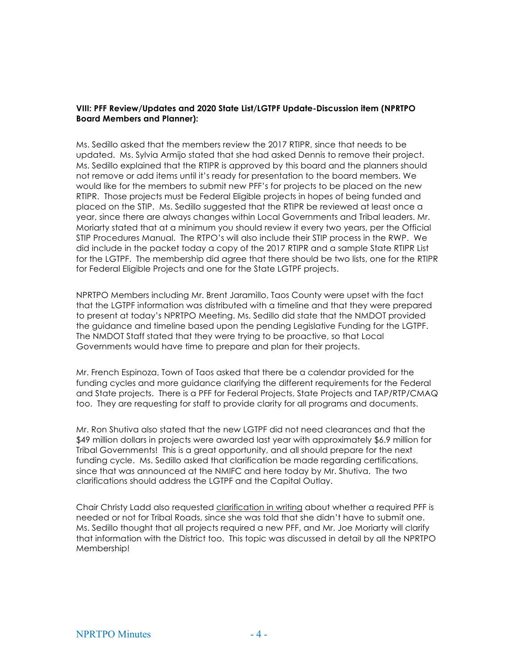## **VIII: PFF Review/Updates and 2020 State List/LGTPF Update-Discussion item (NPRTPO Board Members and Planner):**

Ms. Sedillo asked that the members review the 2017 RTIPR, since that needs to be updated. Ms. Sylvia Armijo stated that she had asked Dennis to remove their project. Ms. Sedillo explained that the RTIPR is approved by this board and the planners should not remove or add items until it's ready for presentation to the board members. We would like for the members to submit new PFF's for projects to be placed on the new RTIPR. Those projects must be Federal Eligible projects in hopes of being funded and placed on the STIP. Ms. Sedillo suggested that the RTIPR be reviewed at least once a year, since there are always changes within Local Governments and Tribal leaders. Mr. Moriarty stated that at a minimum you should review it every two years, per the Official STIP Procedures Manual. The RTPO's will also include their STIP process in the RWP. We did include in the packet today a copy of the 2017 RTIPR and a sample State RTIPR List for the LGTPF. The membership did agree that there should be two lists, one for the RTIPR for Federal Eligible Projects and one for the State LGTPF projects.

NPRTPO Members including Mr. Brent Jaramillo, Taos County were upset with the fact that the LGTPF information was distributed with a timeline and that they were prepared to present at today's NPRTPO Meeting. Ms. Sedillo did state that the NMDOT provided the guidance and timeline based upon the pending Legislative Funding for the LGTPF. The NMDOT Staff stated that they were trying to be proactive, so that Local Governments would have time to prepare and plan for their projects.

Mr. French Espinoza, Town of Taos asked that there be a calendar provided for the funding cycles and more guidance clarifying the different requirements for the Federal and State projects. There is a PFF for Federal Projects, State Projects and TAP/RTP/CMAQ too. They are requesting for staff to provide clarity for all programs and documents.

Mr. Ron Shutiva also stated that the new LGTPF did not need clearances and that the \$49 million dollars in projects were awarded last year with approximately \$6.9 million for Tribal Governments! This is a great opportunity, and all should prepare for the next funding cycle. Ms. Sedillo asked that clarification be made regarding certifications, since that was announced at the NMIFC and here today by Mr. Shutiva. The two clarifications should address the LGTPF and the Capital Outlay.

Chair Christy Ladd also requested clarification in writing about whether a required PFF is needed or not for Tribal Roads, since she was told that she didn't have to submit one. Ms. Sedillo thought that all projects required a new PFF, and Mr. Joe Moriarty will clarify that information with the District too. This topic was discussed in detail by all the NPRTPO Membership!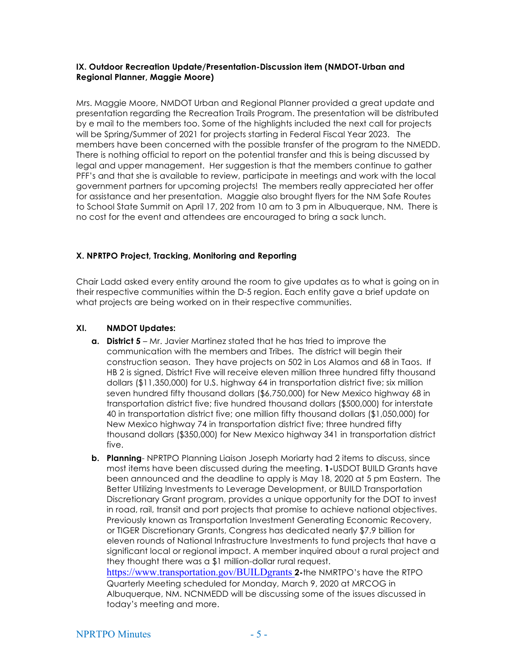#### **IX. Outdoor Recreation Update/Presentation-Discussion item (NMDOT-Urban and Regional Planner, Maggie Moore)**

Mrs. Maggie Moore, NMDOT Urban and Regional Planner provided a great update and presentation regarding the Recreation Trails Program. The presentation will be distributed by e mail to the members too. Some of the highlights included the next call for projects will be Spring/Summer of 2021 for projects starting in Federal Fiscal Year 2023. The members have been concerned with the possible transfer of the program to the NMEDD. There is nothing official to report on the potential transfer and this is being discussed by legal and upper management. Her suggestion is that the members continue to gather PFF's and that she is available to review, participate in meetings and work with the local government partners for upcoming projects! The members really appreciated her offer for assistance and her presentation. Maggie also brought flyers for the NM Safe Routes to School State Summit on April 17, 202 from 10 am to 3 pm in Albuquerque, NM. There is no cost for the event and attendees are encouraged to bring a sack lunch.

## **X. NPRTPO Project, Tracking, Monitoring and Reporting**

Chair Ladd asked every entity around the room to give updates as to what is going on in their respective communities within the D-5 region. Each entity gave a brief update on what projects are being worked on in their respective communities.

## **XI. NMDOT Updates:**

- **a. District 5** Mr. Javier Martinez stated that he has tried to improve the communication with the members and Tribes. The district will begin their construction season. They have projects on 502 in Los Alamos and 68 in Taos. If HB 2 is signed, District Five will receive eleven million three hundred fifty thousand dollars (\$11,350,000) for U.S. highway 64 in transportation district five; six million seven hundred fifty thousand dollars (\$6,750,000) for New Mexico highway 68 in transportation district five; five hundred thousand dollars (\$500,000) for interstate 40 in transportation district five; one million fifty thousand dollars (\$1,050,000) for New Mexico highway 74 in transportation district five; three hundred fifty thousand dollars (\$350,000) for New Mexico highway 341 in transportation district five.
- **b. Planning** NPRTPO Planning Liaison Joseph Moriarty had 2 items to discuss, since most items have been discussed during the meeting. **1-**USDOT BUILD Grants have been announced and the deadline to apply is May 18, 2020 at 5 pm Eastern. The Better Utilizing Investments to Leverage Development, or BUILD Transportation Discretionary Grant program, provides a unique opportunity for the DOT to invest in road, rail, transit and port projects that promise to achieve national objectives. Previously known as Transportation Investment Generating Economic Recovery, or TIGER Discretionary Grants, Congress has dedicated nearly \$7.9 billion for eleven rounds of National Infrastructure Investments to fund projects that have a significant local or regional impact. A member inquired about a rural project and they thought there was a \$1 million-dollar rural request. https://www.transportation.gov/BUILDgrants **2-**the NMRTPO's have the RTPO Quarterly Meeting scheduled for Monday, March 9, 2020 at MRCOG in Albuquerque, NM. NCNMEDD will be discussing some of the issues discussed in today's meeting and more.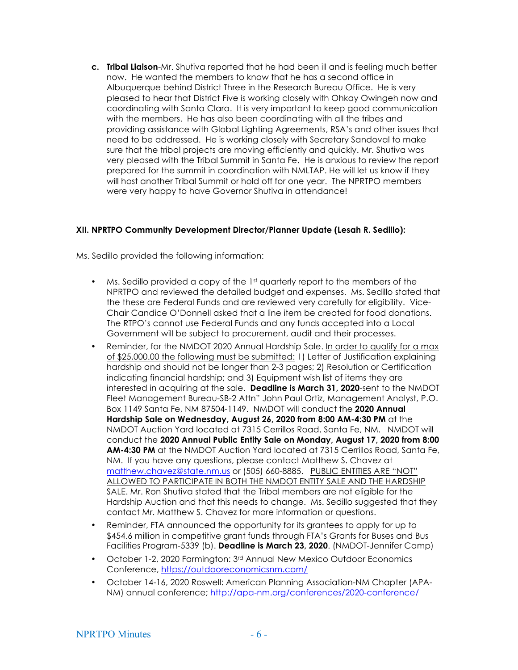**c. Tribal Liaison**-Mr. Shutiva reported that he had been ill and is feeling much better now. He wanted the members to know that he has a second office in Albuquerque behind District Three in the Research Bureau Office. He is very pleased to hear that District Five is working closely with Ohkay Owingeh now and coordinating with Santa Clara. It is very important to keep good communication with the members. He has also been coordinating with all the tribes and providing assistance with Global Lighting Agreements, RSA's and other issues that need to be addressed. He is working closely with Secretary Sandoval to make sure that the tribal projects are moving efficiently and quickly. Mr. Shutiva was very pleased with the Tribal Summit in Santa Fe. He is anxious to review the report prepared for the summit in coordination with NMLTAP. He will let us know if they will host another Tribal Summit or hold off for one year. The NPRTPO members were very happy to have Governor Shutiva in attendance!

## **XII. NPRTPO Community Development Director/Planner Update (Lesah R. Sedillo):**

Ms. Sedillo provided the following information:

- Ms. Sedillo provided a copy of the 1st quarterly report to the members of the NPRTPO and reviewed the detailed budget and expenses. Ms. Sedillo stated that the these are Federal Funds and are reviewed very carefully for eligibility. Vice-Chair Candice O'Donnell asked that a line item be created for food donations. The RTPO's cannot use Federal Funds and any funds accepted into a Local Government will be subject to procurement, audit and their processes.
- Reminder, for the NMDOT 2020 Annual Hardship Sale. In order to qualify for a max of \$25,000.00 the following must be submitted: 1) Letter of Justification explaining hardship and should not be longer than 2-3 pages; 2) Resolution or Certification indicating financial hardship; and 3) Equipment wish list of items they are interested in acquiring at the sale. **Deadline is March 31, 2020**-sent to the NMDOT Fleet Management Bureau-SB-2 Attn" John Paul Ortiz, Management Analyst, P.O. Box 1149 Santa Fe, NM 87504-1149. NMDOT will conduct the **2020 Annual Hardship Sale on Wednesday, August 26, 2020 from 8:00 AM-4:30 PM** at the NMDOT Auction Yard located at 7315 Cerrillos Road, Santa Fe, NM. NMDOT will conduct the **2020 Annual Public Entity Sale on Monday, August 17, 2020 from 8:00 AM-4:30 PM** at the NMDOT Auction Yard located at 7315 Cerrillos Road, Santa Fe, NM. If you have any questions, please contact Matthew S. Chavez at matthew.chavez@state.nm.us or (505) 660-8885. PUBLIC ENTITIES ARE "NOT" ALLOWED TO PARTICIPATE IN BOTH THE NMDOT ENTITY SALE AND THE HARDSHIP SALE. Mr. Ron Shutiva stated that the Tribal members are not eligible for the Hardship Auction and that this needs to change. Ms. Sedillo suggested that they contact Mr. Matthew S. Chavez for more information or questions.
- Reminder, FTA announced the opportunity for its grantees to apply for up to \$454.6 million in competitive grant funds through FTA's Grants for Buses and Bus Facilities Program-5339 (b). **Deadline is March 23, 2020**. (NMDOT-Jennifer Camp)
- October 1-2, 2020 Farmington: 3rd Annual New Mexico Outdoor Economics Conference, https://outdooreconomicsnm.com/
- October 14-16, 2020 Roswell: American Planning Association-NM Chapter (APA-NM) annual conference; http://apa-nm.org/conferences/2020-conference/